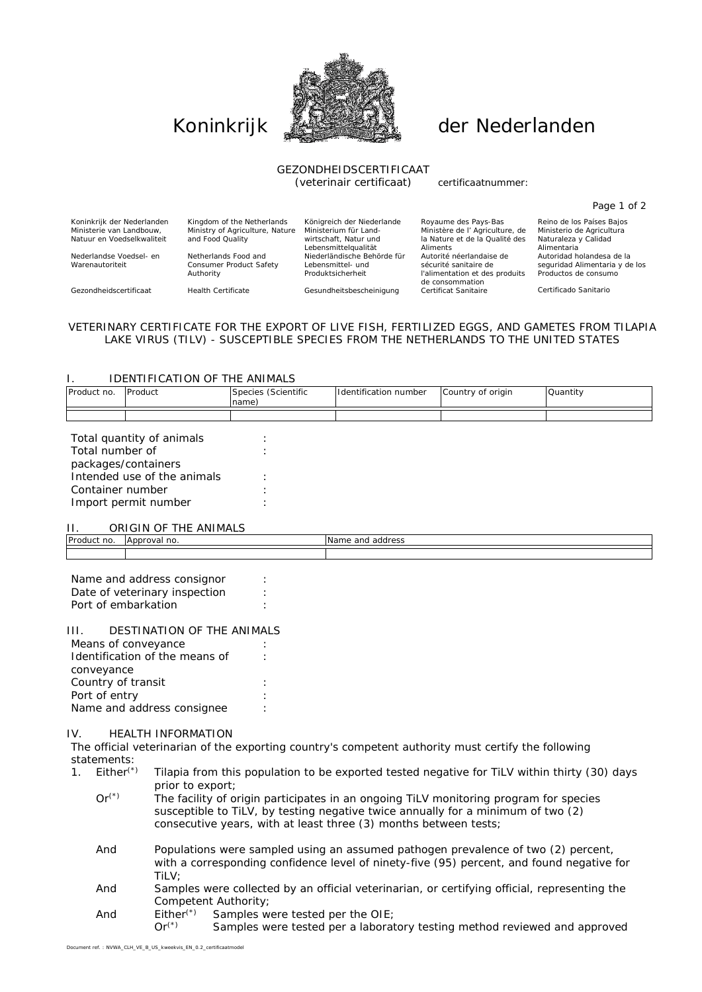

# Koninkrijk **Allens der Nederlanden**

## GEZONDHEIDSCERTIFICAAT

(veterinair certificaat) certificaatnummer:

| Kingdom of the Netherlands      | Königreich der Niederlande  | Royaume des Pays-Bas                              | Reino de los Países Bajos      |
|---------------------------------|-----------------------------|---------------------------------------------------|--------------------------------|
| Ministry of Agriculture, Nature | Ministerium für Land-       | Ministère de l'Agriculture, de                    | Ministerio de Agricultura      |
| and Food Quality                | wirtschaft. Natur und       | la Nature et de la Qualité des                    | Naturaleza y Calidad           |
|                                 | Lebensmittelaualität        | Aliments                                          | Alimentaria                    |
| Netherlands Food and            | Niederländische Behörde für | Autorité néerlandaise de                          | Autoridad holandesa de la      |
| Consumer Product Safety         | Lebensmittel- und           | sécurité sanitaire de                             | seguridad Alimentaria y de los |
| Authority                       | Produktsicherheit           | l'alimentation et des produits<br>de consommation | Productos de consumo           |
| <b>Health Certificate</b>       | Gesundheitsbescheinigung    | Certificat Sanitaire                              | Certificado Sanitario          |
|                                 |                             |                                                   |                                |

#### VETERINARY CERTIFICATE FOR THE EXPORT OF LIVE FISH, FERTILIZED EGGS, AND GAMETES FROM TILAPIA LAKE VIRUS (TILV) - SUSCEPTIBLE SPECIES FROM THE NETHERLANDS TO THE UNITED STATES

#### I. IDENTIFICATION OF THE ANIMALS

| Product no. | Product                   | Species (Scientific<br>name) | Identification number | Country of origin | Quantity |
|-------------|---------------------------|------------------------------|-----------------------|-------------------|----------|
|             |                           |                              |                       |                   |          |
|             | Total quantity of animals |                              |                       |                   |          |

### II. ORIGIN OF THE ANIMALS

| .           | <b>UINUILLE</b>                                                   |                         |
|-------------|-------------------------------------------------------------------|-------------------------|
| Product no. | the contract of the contract of the contract of<br>Approval<br>no | Name.<br>address<br>and |
|             |                                                                   |                         |
|             |                                                                   |                         |

| Name and address consignor    |  |
|-------------------------------|--|
| Date of veterinary inspection |  |
| Port of embarkation           |  |

#### III. DESTINATION OF THE ANIMALS

| Means of conveyance            |  |
|--------------------------------|--|
| Identification of the means of |  |
| conveyance                     |  |
| Country of transit             |  |
| Port of entry                  |  |
| Name and address consignee     |  |
|                                |  |

#### IV. HEALTH INFORMATION

The official veterinarian of the exporting country's competent authority must certify the following statements:<br>1. Either<sup>(\*)</sup>

- Tilapia from this population to be exported tested negative for TiLV within thirty (30) days prior to export;
	- $Or<sup>(*)</sup>$  The facility of origin participates in an ongoing TiLV monitoring program for species susceptible to TiLV, by testing negative twice annually for a minimum of two (2) consecutive years, with at least three (3) months between tests;
	- And Populations were sampled using an assumed pathogen prevalence of two (2) percent, with a corresponding confidence level of ninety-five (95) percent, and found negative for TiLV;
	- And Samples were collected by an official veterinarian, or certifying official, representing the Competent Authority;<br>Either<sup>(\*)</sup> Samples w
	- And Either<sup>(\*)</sup> Samples were tested per the OIE;<br>Or<sup>(\*)</sup> Samples were tested per a laboral
		- Samples were tested per a laboratory testing method reviewed and approved

Page 1 of 2